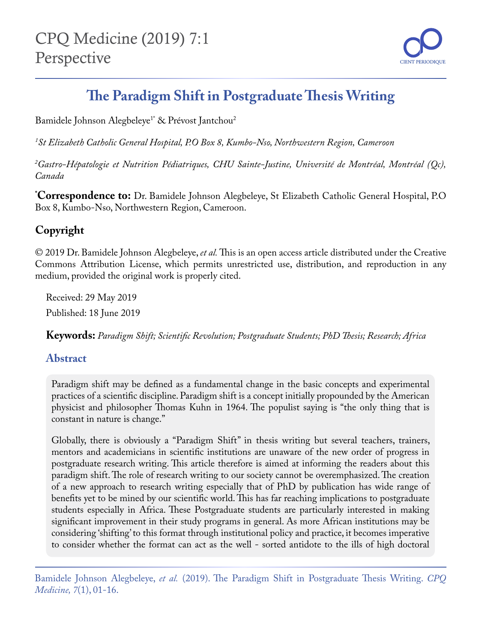

# **The Paradigm Shift in Postgraduate Thesis Writing**

Bamidele Johnson Alegbeleye<sup>1\*</sup> & Prévost Jantchou<sup>2</sup>

*1 St Elizabeth Catholic General Hospital, P.O Box 8, Kumbo-Nso, Northwestern Region, Cameroon*

*2 Gastro-Hépatologie et Nutrition Pédiatriques, CHU Sainte-Justine, Université de Montréal, Montréal (Qc), Canada*

**\* Correspondence to:** Dr. Bamidele Johnson Alegbeleye, St Elizabeth Catholic General Hospital, P.O Box 8, Kumbo-Nso, Northwestern Region, Cameroon.

# **Copyright**

© 2019 Dr. Bamidele Johnson Alegbeleye, *et al.* This is an open access article distributed under the Creative Commons Attribution License, which permits unrestricted use, distribution, and reproduction in any medium, provided the original work is properly cited.

Received: 29 May 2019 Published: 18 June 2019

**Keywords:** *Paradigm Shift; Scientific Revolution; Postgraduate Students; PhD Thesis; Research; Africa*

#### **Abstract**

Paradigm shift may be defined as a fundamental change in the basic concepts and experimental practices of a scientific discipline. Paradigm shift is a concept initially propounded by the American physicist and philosopher Thomas Kuhn in 1964. The populist saying is "the only thing that is constant in nature is change."

Globally, there is obviously a "Paradigm Shift" in thesis writing but several teachers, trainers, mentors and academicians in scientific institutions are unaware of the new order of progress in postgraduate research writing. This article therefore is aimed at informing the readers about this paradigm shift. The role of research writing to our society cannot be overemphasized. The creation of a new approach to research writing especially that of PhD by publication has wide range of benefits yet to be mined by our scientific world. This has far reaching implications to postgraduate students especially in Africa. These Postgraduate students are particularly interested in making significant improvement in their study programs in general. As more African institutions may be considering 'shifting' to this format through institutional policy and practice, it becomes imperative to consider whether the format can act as the well - sorted antidote to the ills of high doctoral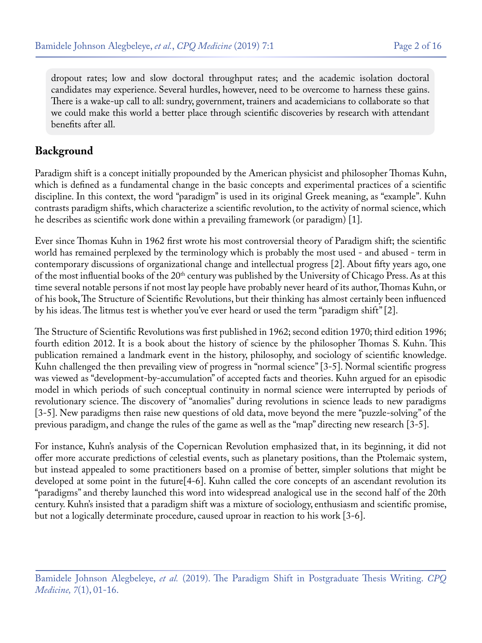dropout rates; low and slow doctoral throughput rates; and the academic isolation doctoral candidates may experience. Several hurdles, however, need to be overcome to harness these gains. There is a wake-up call to all: sundry, government, trainers and academicians to collaborate so that we could make this world a better place through scientific discoveries by research with attendant benefits after all.

#### **Background**

Paradigm shift is a concept initially propounded by the American physicist and philosopher Thomas Kuhn, which is defined as a fundamental change in the basic concepts and experimental practices of a scientific discipline. In this context, the word "paradigm" is used in its original Greek meaning, as "example". Kuhn contrasts paradigm shifts, which characterize a scientific revolution, to the activity of normal science, which he describes as scientific work done within a prevailing framework (or paradigm) [1].

Ever since Thomas Kuhn in 1962 first wrote his most controversial theory of Paradigm shift; the scientific world has remained perplexed by the terminology which is probably the most used - and abused - term in contemporary discussions of organizational change and intellectual progress [2]. About fifty years ago, one of the most influential books of the 20<sup>th</sup> century was published by the University of Chicago Press. As at this time several notable persons if not most lay people have probably never heard of its author, Thomas Kuhn, or of his book, The Structure of Scientific Revolutions, but their thinking has almost certainly been influenced by his ideas. The litmus test is whether you've ever heard or used the term "paradigm shift" [2].

The Structure of Scientific Revolutions was first published in 1962; second edition 1970; third edition 1996; fourth edition 2012. It is a book about the history of science by the philosopher Thomas S. Kuhn. This publication remained a landmark event in the history, philosophy, and sociology of scientific knowledge. Kuhn challenged the then prevailing view of progress in "normal science" [3-5]. Normal scientific progress was viewed as "development-by-accumulation" of accepted facts and theories. Kuhn argued for an episodic model in which periods of such conceptual continuity in normal science were interrupted by periods of revolutionary science. The discovery of "anomalies" during revolutions in science leads to new paradigms [3-5]. New paradigms then raise new questions of old data, move beyond the mere "puzzle-solving" of the previous paradigm, and change the rules of the game as well as the "map" directing new research [3-5].

For instance, Kuhn's analysis of the Copernican Revolution emphasized that, in its beginning, it did not offer more accurate predictions of celestial events, such as planetary positions, than the Ptolemaic system, but instead appealed to some practitioners based on a promise of better, simpler solutions that might be developed at some point in the future[4-6]. Kuhn called the core concepts of an ascendant revolution its "paradigms" and thereby launched this word into widespread analogical use in the second half of the 20th century. Kuhn's insisted that a paradigm shift was a mixture of sociology, enthusiasm and scientific promise, but not a logically determinate procedure, caused uproar in reaction to his work [3-6].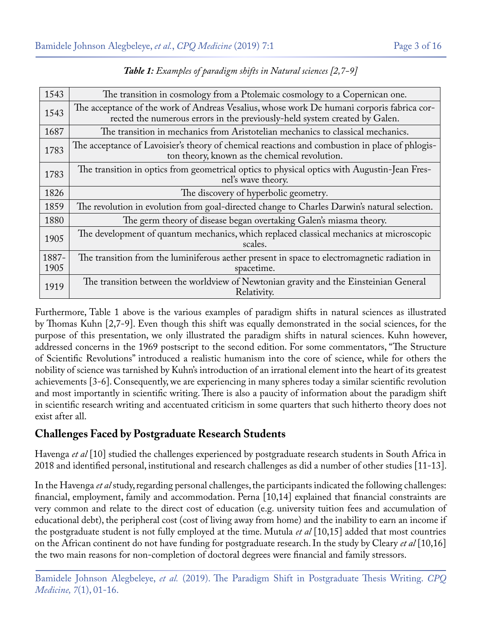| 1543  | The transition in cosmology from a Ptolemaic cosmology to a Copernican one.                                                                                              |
|-------|--------------------------------------------------------------------------------------------------------------------------------------------------------------------------|
| 1543  | The acceptance of the work of Andreas Vesalius, whose work De humani corporis fabrica cor-<br>rected the numerous errors in the previously-held system created by Galen. |
| 1687  | The transition in mechanics from Aristotelian mechanics to classical mechanics.                                                                                          |
| 1783  | The acceptance of Lavoisier's theory of chemical reactions and combustion in place of phlogis-<br>ton theory, known as the chemical revolution.                          |
| 1783  | The transition in optics from geometrical optics to physical optics with Augustin-Jean Fres-<br>nel's wave theory.                                                       |
| 1826  | The discovery of hyperbolic geometry.                                                                                                                                    |
| 1859  | The revolution in evolution from goal-directed change to Charles Darwin's natural selection.                                                                             |
| 1880  | The germ theory of disease began overtaking Galen's miasma theory.                                                                                                       |
| 1905  | The development of quantum mechanics, which replaced classical mechanics at microscopic<br>scales.                                                                       |
| 1887- | The transition from the luminiferous aether present in space to electromagnetic radiation in                                                                             |
| 1905  | spacetime.                                                                                                                                                               |
| 1919  | The transition between the worldview of Newtonian gravity and the Einsteinian General<br>Relativity.                                                                     |

*Table 1: Examples of paradigm shifts in Natural sciences [2,7-9]*

Furthermore, Table 1 above is the various examples of paradigm shifts in natural sciences as illustrated by Thomas Kuhn [2,7-9]. Even though this shift was equally demonstrated in the social sciences, for the purpose of this presentation, we only illustrated the paradigm shifts in natural sciences. Kuhn however, addressed concerns in the 1969 postscript to the second edition. For some commentators, "The Structure of Scientific Revolutions" introduced a realistic humanism into the core of science, while for others the nobility of science was tarnished by Kuhn's introduction of an irrational element into the heart of its greatest achievements [3-6]. Consequently, we are experiencing in many spheres today a similar scientific revolution and most importantly in scientific writing. There is also a paucity of information about the paradigm shift in scientific research writing and accentuated criticism in some quarters that such hitherto theory does not exist after all.

# **Challenges Faced by Postgraduate Research Students**

Havenga *et al* [10] studied the challenges experienced by postgraduate research students in South Africa in 2018 and identified personal, institutional and research challenges as did a number of other studies [11-13].

In the Havenga *et al* study, regarding personal challenges, the participants indicated the following challenges: financial, employment, family and accommodation. Perna [10,14] explained that financial constraints are very common and relate to the direct cost of education (e.g. university tuition fees and accumulation of educational debt), the peripheral cost (cost of living away from home) and the inability to earn an income if the postgraduate student is not fully employed at the time. Mutula *et al* [10,15] added that most countries on the African continent do not have funding for postgraduate research. In the study by Cleary *et al* [10,16] the two main reasons for non-completion of doctoral degrees were financial and family stressors.

Bamidele Johnson Alegbeleye, *et al.* (2019). The Paradigm Shift in Postgraduate Thesis Writing. *CPQ Medicine, 7*(1), 01-16.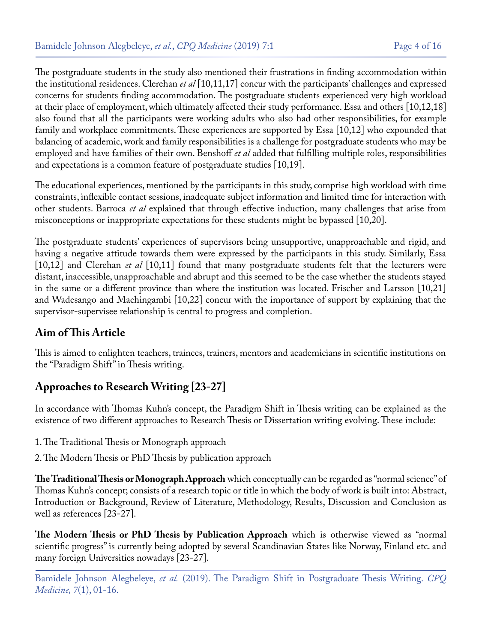The postgraduate students in the study also mentioned their frustrations in finding accommodation within the institutional residences. Clerehan *et al* [10,11,17] concur with the participants' challenges and expressed concerns for students finding accommodation. The postgraduate students experienced very high workload at their place of employment, which ultimately affected their study performance. Essa and others [10,12,18] also found that all the participants were working adults who also had other responsibilities, for example family and workplace commitments. These experiences are supported by Essa [10,12] who expounded that balancing of academic, work and family responsibilities is a challenge for postgraduate students who may be employed and have families of their own. Benshoff *et al* added that fulfilling multiple roles, responsibilities and expectations is a common feature of postgraduate studies [10,19].

The educational experiences, mentioned by the participants in this study, comprise high workload with time constraints, inflexible contact sessions, inadequate subject information and limited time for interaction with other students. Barroca *et al* explained that through effective induction, many challenges that arise from misconceptions or inappropriate expectations for these students might be bypassed [10,20].

The postgraduate students' experiences of supervisors being unsupportive, unapproachable and rigid, and having a negative attitude towards them were expressed by the participants in this study. Similarly, Essa [10,12] and Clerehan *et al* [10,11] found that many postgraduate students felt that the lecturers were distant, inaccessible, unapproachable and abrupt and this seemed to be the case whether the students stayed in the same or a different province than where the institution was located. Frischer and Larsson [10,21] and Wadesango and Machingambi [10,22] concur with the importance of support by explaining that the supervisor-supervisee relationship is central to progress and completion.

# **Aim of This Article**

This is aimed to enlighten teachers, trainees, trainers, mentors and academicians in scientific institutions on the "Paradigm Shift" in Thesis writing.

# **Approaches to Research Writing [23-27]**

In accordance with Thomas Kuhn's concept, the Paradigm Shift in Thesis writing can be explained as the existence of two different approaches to Research Thesis or Dissertation writing evolving. These include:

- 1. The Traditional Thesis or Monograph approach
- 2. The Modern Thesis or PhD Thesis by publication approach

**The Traditional Thesis or Monograph Approach** which conceptually can be regarded as "normal science" of Thomas Kuhn's concept; consists of a research topic or title in which the body of work is built into: Abstract, Introduction or Background, Review of Literature, Methodology, Results, Discussion and Conclusion as well as references [23-27].

**The Modern Thesis or PhD Thesis by Publication Approach** which is otherwise viewed as "normal scientific progress" is currently being adopted by several Scandinavian States like Norway, Finland etc. and many foreign Universities nowadays [23-27].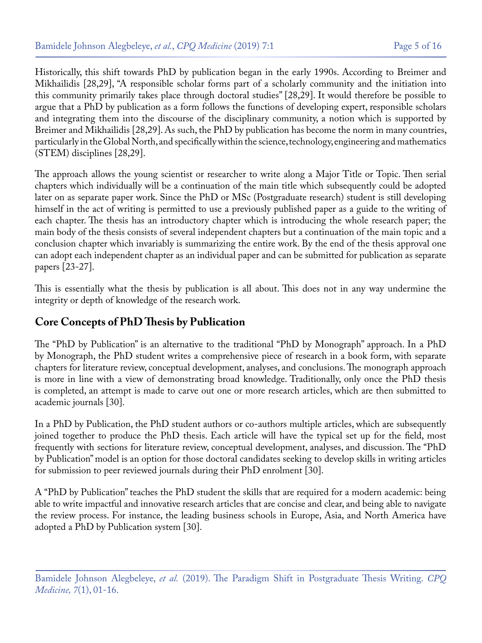Historically, this shift towards PhD by publication began in the early 1990s. According to Breimer and Mikhailidis [28,29], "A responsible scholar forms part of a scholarly community and the initiation into this community primarily takes place through doctoral studies" [28,29]. It would therefore be possible to argue that a PhD by publication as a form follows the functions of developing expert, responsible scholars and integrating them into the discourse of the disciplinary community, a notion which is supported by Breimer and Mikhailidis [28,29]. As such, the PhD by publication has become the norm in many countries, particularly in the Global North, and specifically within the science, technology, engineering and mathematics (STEM) disciplines [28,29].

The approach allows the young scientist or researcher to write along a Major Title or Topic. Then serial chapters which individually will be a continuation of the main title which subsequently could be adopted later on as separate paper work. Since the PhD or MSc (Postgraduate research) student is still developing himself in the act of writing is permitted to use a previously published paper as a guide to the writing of each chapter. The thesis has an introductory chapter which is introducing the whole research paper; the main body of the thesis consists of several independent chapters but a continuation of the main topic and a conclusion chapter which invariably is summarizing the entire work. By the end of the thesis approval one can adopt each independent chapter as an individual paper and can be submitted for publication as separate papers [23-27].

This is essentially what the thesis by publication is all about. This does not in any way undermine the integrity or depth of knowledge of the research work.

### **Core Concepts of PhD Thesis by Publication**

The "PhD by Publication" is an alternative to the traditional "PhD by Monograph" approach. In a PhD by Monograph, the PhD student writes a comprehensive piece of research in a book form, with separate chapters for literature review, conceptual development, analyses, and conclusions. The monograph approach is more in line with a view of demonstrating broad knowledge. Traditionally, only once the PhD thesis is completed, an attempt is made to carve out one or more research articles, which are then submitted to academic journals [30].

In a PhD by Publication, the PhD student authors or co-authors multiple articles, which are subsequently joined together to produce the PhD thesis. Each article will have the typical set up for the field, most frequently with sections for literature review, conceptual development, analyses, and discussion. The "PhD by Publication" model is an option for those doctoral candidates seeking to develop skills in writing articles for submission to peer reviewed journals during their PhD enrolment [30].

A "PhD by Publication" teaches the PhD student the skills that are required for a modern academic: being able to write impactful and innovative research articles that are concise and clear, and being able to navigate the review process. For instance, the leading business schools in Europe, Asia, and North America have adopted a PhD by Publication system [30].

Bamidele Johnson Alegbeleye, *et al.* (2019). The Paradigm Shift in Postgraduate Thesis Writing. *CPQ Medicine, 7*(1), 01-16.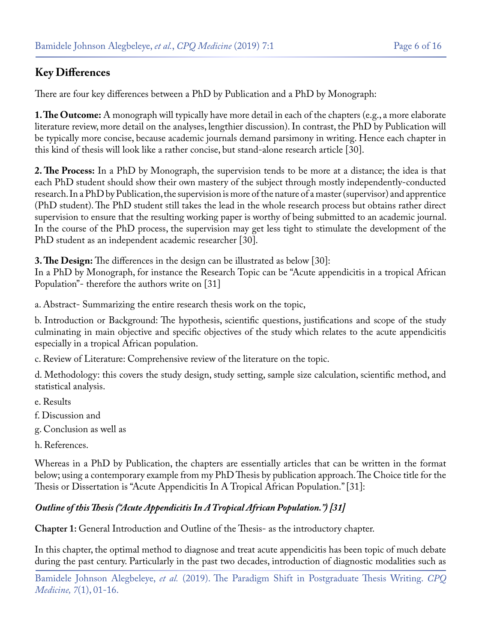# **Key Differences**

There are four key differences between a PhD by Publication and a PhD by Monograph:

**1. The Outcome:** A monograph will typically have more detail in each of the chapters (e.g., a more elaborate literature review, more detail on the analyses, lengthier discussion). In contrast, the PhD by Publication will be typically more concise, because academic journals demand parsimony in writing. Hence each chapter in this kind of thesis will look like a rather concise, but stand-alone research article [30].

**2. The Process:** In a PhD by Monograph, the supervision tends to be more at a distance; the idea is that each PhD student should show their own mastery of the subject through mostly independently-conducted research. In a PhD by Publication, the supervision is more of the nature of a master (supervisor) and apprentice (PhD student). The PhD student still takes the lead in the whole research process but obtains rather direct supervision to ensure that the resulting working paper is worthy of being submitted to an academic journal. In the course of the PhD process, the supervision may get less tight to stimulate the development of the PhD student as an independent academic researcher [30].

**3. The Design:** The differences in the design can be illustrated as below [30]:

In a PhD by Monograph, for instance the Research Topic can be "Acute appendicitis in a tropical African Population"- therefore the authors write on [31]

a. Abstract- Summarizing the entire research thesis work on the topic,

b. Introduction or Background: The hypothesis, scientific questions, justifications and scope of the study culminating in main objective and specific objectives of the study which relates to the acute appendicitis especially in a tropical African population.

c. Review of Literature: Comprehensive review of the literature on the topic.

d. Methodology: this covers the study design, study setting, sample size calculation, scientific method, and statistical analysis.

- e. Results
- f. Discussion and
- g. Conclusion as well as
- h. References.

Whereas in a PhD by Publication, the chapters are essentially articles that can be written in the format below; using a contemporary example from my PhD Thesis by publication approach. The Choice title for the Thesis or Dissertation is "Acute Appendicitis In A Tropical African Population." [31]:

#### *Outline of this Thesis ("Acute Appendicitis In A Tropical African Population.") [31]*

**Chapter 1:** General Introduction and Outline of the Thesis- as the introductory chapter.

In this chapter, the optimal method to diagnose and treat acute appendicitis has been topic of much debate during the past century. Particularly in the past two decades, introduction of diagnostic modalities such as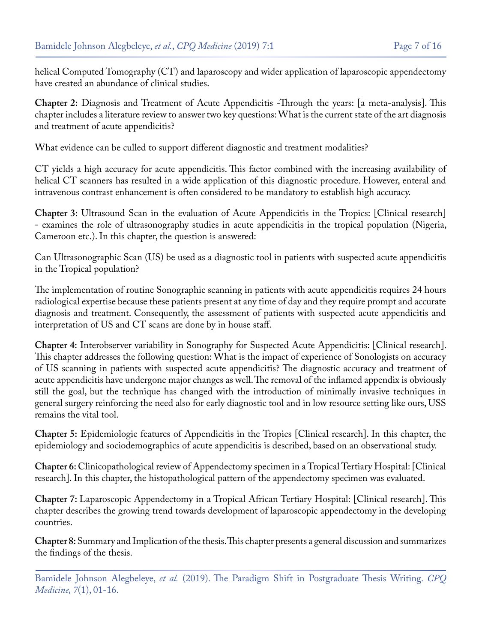helical Computed Tomography (CT) and laparoscopy and wider application of laparoscopic appendectomy have created an abundance of clinical studies.

**Chapter 2:** Diagnosis and Treatment of Acute Appendicitis -Through the years: [a meta-analysis]. This chapter includes a literature review to answer two key questions: What is the current state of the art diagnosis and treatment of acute appendicitis?

What evidence can be culled to support different diagnostic and treatment modalities?

CT yields a high accuracy for acute appendicitis. This factor combined with the increasing availability of helical CT scanners has resulted in a wide application of this diagnostic procedure. However, enteral and intravenous contrast enhancement is often considered to be mandatory to establish high accuracy.

**Chapter 3:** Ultrasound Scan in the evaluation of Acute Appendicitis in the Tropics: [Clinical research] - examines the role of ultrasonography studies in acute appendicitis in the tropical population (Nigeria, Cameroon etc.). In this chapter, the question is answered:

Can Ultrasonographic Scan (US) be used as a diagnostic tool in patients with suspected acute appendicitis in the Tropical population?

The implementation of routine Sonographic scanning in patients with acute appendicitis requires 24 hours radiological expertise because these patients present at any time of day and they require prompt and accurate diagnosis and treatment. Consequently, the assessment of patients with suspected acute appendicitis and interpretation of US and CT scans are done by in house staff.

**Chapter 4:** Interobserver variability in Sonography for Suspected Acute Appendicitis: [Clinical research]. This chapter addresses the following question: What is the impact of experience of Sonologists on accuracy of US scanning in patients with suspected acute appendicitis? The diagnostic accuracy and treatment of acute appendicitis have undergone major changes as well. The removal of the inflamed appendix is obviously still the goal, but the technique has changed with the introduction of minimally invasive techniques in general surgery reinforcing the need also for early diagnostic tool and in low resource setting like ours, USS remains the vital tool.

**Chapter 5:** Epidemiologic features of Appendicitis in the Tropics [Clinical research]. In this chapter, the epidemiology and sociodemographics of acute appendicitis is described, based on an observational study.

**Chapter 6:** Clinicopathological review of Appendectomy specimen in a Tropical Tertiary Hospital: [Clinical research]. In this chapter, the histopathological pattern of the appendectomy specimen was evaluated.

**Chapter 7:** Laparoscopic Appendectomy in a Tropical African Tertiary Hospital: [Clinical research]. This chapter describes the growing trend towards development of laparoscopic appendectomy in the developing countries.

**Chapter 8:**Summary and Implication of the thesis. This chapter presents a general discussion and summarizes the findings of the thesis.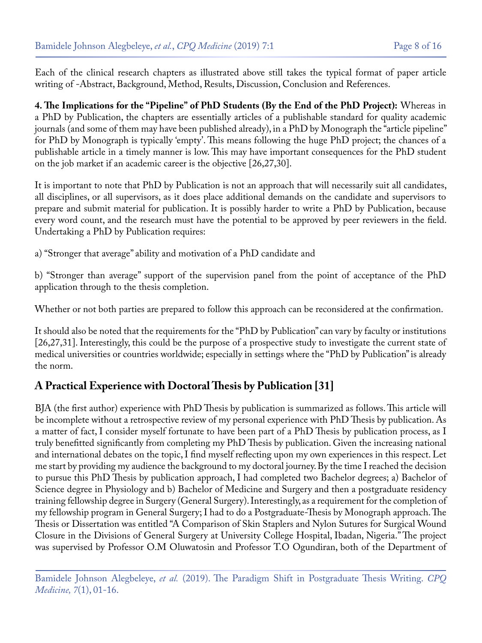Each of the clinical research chapters as illustrated above still takes the typical format of paper article writing of -Abstract, Background, Method, Results, Discussion, Conclusion and References.

**4. The Implications for the "Pipeline" of PhD Students (By the End of the PhD Project):** Whereas in a PhD by Publication, the chapters are essentially articles of a publishable standard for quality academic journals (and some of them may have been published already), in a PhD by Monograph the "article pipeline" for PhD by Monograph is typically 'empty'. This means following the huge PhD project; the chances of a publishable article in a timely manner is low. This may have important consequences for the PhD student on the job market if an academic career is the objective [26,27,30].

It is important to note that PhD by Publication is not an approach that will necessarily suit all candidates, all disciplines, or all supervisors, as it does place additional demands on the candidate and supervisors to prepare and submit material for publication. It is possibly harder to write a PhD by Publication, because every word count, and the research must have the potential to be approved by peer reviewers in the field. Undertaking a PhD by Publication requires:

a) "Stronger that average" ability and motivation of a PhD candidate and

b) "Stronger than average" support of the supervision panel from the point of acceptance of the PhD application through to the thesis completion.

Whether or not both parties are prepared to follow this approach can be reconsidered at the confirmation.

It should also be noted that the requirements for the "PhD by Publication" can vary by faculty or institutions [26,27,31]. Interestingly, this could be the purpose of a prospective study to investigate the current state of medical universities or countries worldwide; especially in settings where the "PhD by Publication" is already the norm.

#### **A Practical Experience with Doctoral Thesis by Publication [31]**

BJA (the first author) experience with PhD Thesis by publication is summarized as follows. This article will be incomplete without a retrospective review of my personal experience with PhD Thesis by publication. As a matter of fact, I consider myself fortunate to have been part of a PhD Thesis by publication process, as I truly benefitted significantly from completing my PhD Thesis by publication. Given the increasing national and international debates on the topic, I find myself reflecting upon my own experiences in this respect. Let me start by providing my audience the background to my doctoral journey. By the time I reached the decision to pursue this PhD Thesis by publication approach, I had completed two Bachelor degrees; a) Bachelor of Science degree in Physiology and b) Bachelor of Medicine and Surgery and then a postgraduate residency training fellowship degree in Surgery (General Surgery). Interestingly, as a requirement for the completion of my fellowship program in General Surgery; I had to do a Postgraduate-Thesis by Monograph approach. The Thesis or Dissertation was entitled "A Comparison of Skin Staplers and Nylon Sutures for Surgical Wound Closure in the Divisions of General Surgery at University College Hospital, Ibadan, Nigeria." The project was supervised by Professor O.M Oluwatosin and Professor T.O Ogundiran, both of the Department of

Bamidele Johnson Alegbeleye, *et al.* (2019). The Paradigm Shift in Postgraduate Thesis Writing. *CPQ Medicine, 7*(1), 01-16.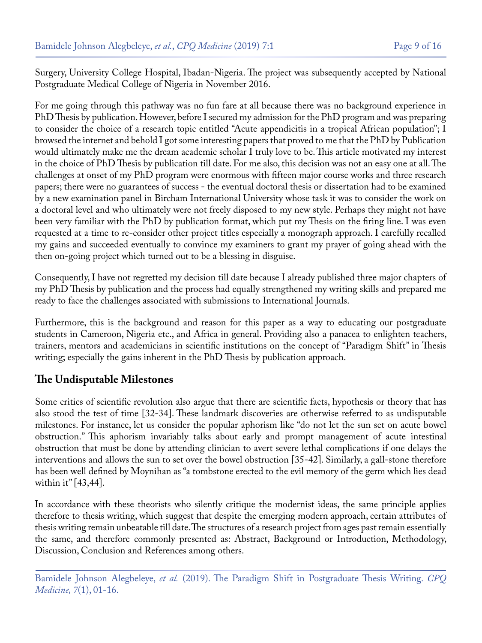Surgery, University College Hospital, Ibadan-Nigeria. The project was subsequently accepted by National Postgraduate Medical College of Nigeria in November 2016.

For me going through this pathway was no fun fare at all because there was no background experience in PhD Thesis by publication. However, before I secured my admission for the PhD program and was preparing to consider the choice of a research topic entitled "Acute appendicitis in a tropical African population"; I browsed the internet and behold I got some interesting papers that proved to me that the PhD by Publication would ultimately make me the dream academic scholar I truly love to be. This article motivated my interest in the choice of PhD Thesis by publication till date. For me also, this decision was not an easy one at all. The challenges at onset of my PhD program were enormous with fifteen major course works and three research papers; there were no guarantees of success - the eventual doctoral thesis or dissertation had to be examined by a new examination panel in Bircham International University whose task it was to consider the work on a doctoral level and who ultimately were not freely disposed to my new style. Perhaps they might not have been very familiar with the PhD by publication format, which put my Thesis on the firing line. I was even requested at a time to re-consider other project titles especially a monograph approach. I carefully recalled my gains and succeeded eventually to convince my examiners to grant my prayer of going ahead with the then on-going project which turned out to be a blessing in disguise.

Consequently, I have not regretted my decision till date because I already published three major chapters of my PhD Thesis by publication and the process had equally strengthened my writing skills and prepared me ready to face the challenges associated with submissions to International Journals.

Furthermore, this is the background and reason for this paper as a way to educating our postgraduate students in Cameroon, Nigeria etc., and Africa in general. Providing also a panacea to enlighten teachers, trainers, mentors and academicians in scientific institutions on the concept of "Paradigm Shift" in Thesis writing; especially the gains inherent in the PhD Thesis by publication approach.

#### **The Undisputable Milestones**

Some critics of scientific revolution also argue that there are scientific facts, hypothesis or theory that has also stood the test of time [32-34]. These landmark discoveries are otherwise referred to as undisputable milestones. For instance, let us consider the popular aphorism like "do not let the sun set on acute bowel obstruction." This aphorism invariably talks about early and prompt management of acute intestinal obstruction that must be done by attending clinician to avert severe lethal complications if one delays the interventions and allows the sun to set over the bowel obstruction [35-42]. Similarly, a gall-stone therefore has been well defined by Moynihan as "a tombstone erected to the evil memory of the germ which lies dead within it" [43,44].

In accordance with these theorists who silently critique the modernist ideas, the same principle applies therefore to thesis writing, which suggest that despite the emerging modern approach, certain attributes of thesis writing remain unbeatable till date. The structures of a research project from ages past remain essentially the same, and therefore commonly presented as: Abstract, Background or Introduction, Methodology, Discussion, Conclusion and References among others.

Bamidele Johnson Alegbeleye, *et al.* (2019). The Paradigm Shift in Postgraduate Thesis Writing. *CPQ Medicine, 7*(1), 01-16.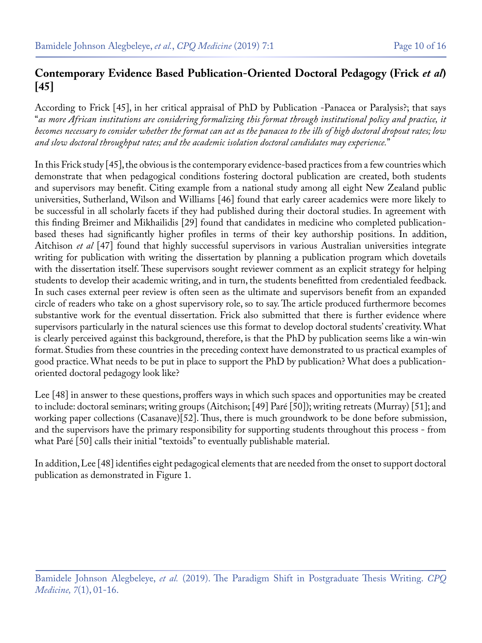### **Contemporary Evidence Based Publication-Oriented Doctoral Pedagogy (Frick** *et al***) [45]**

According to Frick [45], in her critical appraisal of PhD by Publication -Panacea or Paralysis?; that says "*as more African institutions are considering formalizing this format through institutional policy and practice, it becomes necessary to consider whether the format can act as the panacea to the ills of high doctoral dropout rates; low and slow doctoral throughput rates; and the academic isolation doctoral candidates may experience.*"

In this Frick study [45], the obvious is the contemporary evidence-based practices from a few countries which demonstrate that when pedagogical conditions fostering doctoral publication are created, both students and supervisors may benefit. Citing example from a national study among all eight New Zealand public universities, Sutherland, Wilson and Williams [46] found that early career academics were more likely to be successful in all scholarly facets if they had published during their doctoral studies. In agreement with this finding Breimer and Mikhailidis [29] found that candidates in medicine who completed publicationbased theses had significantly higher profiles in terms of their key authorship positions. In addition, Aitchison *et al* [47] found that highly successful supervisors in various Australian universities integrate writing for publication with writing the dissertation by planning a publication program which dovetails with the dissertation itself. These supervisors sought reviewer comment as an explicit strategy for helping students to develop their academic writing, and in turn, the students benefitted from credentialed feedback. In such cases external peer review is often seen as the ultimate and supervisors benefit from an expanded circle of readers who take on a ghost supervisory role, so to say. The article produced furthermore becomes substantive work for the eventual dissertation. Frick also submitted that there is further evidence where supervisors particularly in the natural sciences use this format to develop doctoral students' creativity. What is clearly perceived against this background, therefore, is that the PhD by publication seems like a win-win format. Studies from these countries in the preceding context have demonstrated to us practical examples of good practice. What needs to be put in place to support the PhD by publication? What does a publicationoriented doctoral pedagogy look like?

Lee [48] in answer to these questions, proffers ways in which such spaces and opportunities may be created to include: doctoral seminars; writing groups (Aitchison; [49] Paré [50]); writing retreats (Murray) [51]; and working paper collections (Casanave)[52]. Thus, there is much groundwork to be done before submission, and the supervisors have the primary responsibility for supporting students throughout this process - from what Paré [50] calls their initial "textoids" to eventually publishable material.

In addition, Lee [48] identifies eight pedagogical elements that are needed from the onset to support doctoral publication as demonstrated in Figure 1.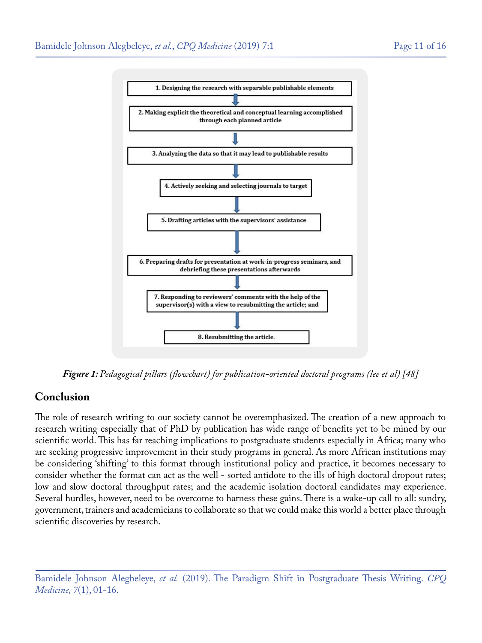

*Figure 1: Pedagogical pillars (flowchart) for publication-oriented doctoral programs (lee et al) [48]*

#### **Conclusion**

The role of research writing to our society cannot be overemphasized. The creation of a new approach to research writing especially that of PhD by publication has wide range of benefits yet to be mined by our scientific world. This has far reaching implications to postgraduate students especially in Africa; many who are seeking progressive improvement in their study programs in general. As more African institutions may be considering 'shifting' to this format through institutional policy and practice, it becomes necessary to consider whether the format can act as the well - sorted antidote to the ills of high doctoral dropout rates; low and slow doctoral throughput rates; and the academic isolation doctoral candidates may experience. Several hurdles, however, need to be overcome to harness these gains. There is a wake-up call to all: sundry, government, trainers and academicians to collaborate so that we could make this world a better place through scientific discoveries by research.

Bamidele Johnson Alegbeleye, *et al.* (2019). The Paradigm Shift in Postgraduate Thesis Writing. *CPQ Medicine, 7*(1), 01-16.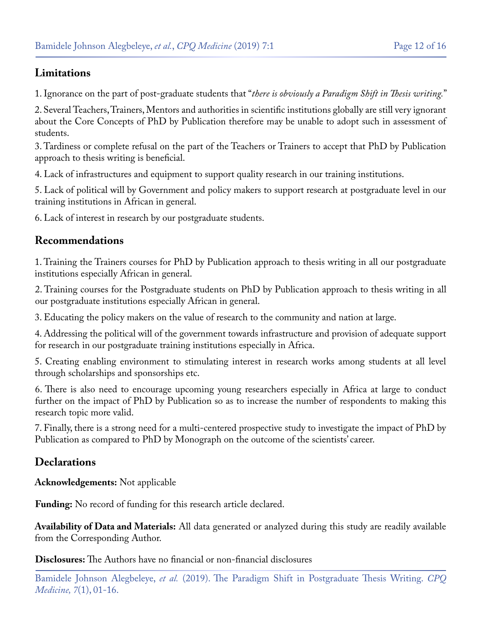#### **Limitations**

1. Ignorance on the part of post-graduate students that "*there is obviously a Paradigm Shift in Thesis writing.*"

2. Several Teachers, Trainers, Mentors and authorities in scientific institutions globally are still very ignorant about the Core Concepts of PhD by Publication therefore may be unable to adopt such in assessment of students.

3. Tardiness or complete refusal on the part of the Teachers or Trainers to accept that PhD by Publication approach to thesis writing is beneficial.

4. Lack of infrastructures and equipment to support quality research in our training institutions.

5. Lack of political will by Government and policy makers to support research at postgraduate level in our training institutions in African in general.

6. Lack of interest in research by our postgraduate students.

#### **Recommendations**

1. Training the Trainers courses for PhD by Publication approach to thesis writing in all our postgraduate institutions especially African in general.

2. Training courses for the Postgraduate students on PhD by Publication approach to thesis writing in all our postgraduate institutions especially African in general.

3. Educating the policy makers on the value of research to the community and nation at large.

4. Addressing the political will of the government towards infrastructure and provision of adequate support for research in our postgraduate training institutions especially in Africa.

5. Creating enabling environment to stimulating interest in research works among students at all level through scholarships and sponsorships etc.

6. There is also need to encourage upcoming young researchers especially in Africa at large to conduct further on the impact of PhD by Publication so as to increase the number of respondents to making this research topic more valid.

7. Finally, there is a strong need for a multi-centered prospective study to investigate the impact of PhD by Publication as compared to PhD by Monograph on the outcome of the scientists' career.

#### **Declarations**

**Acknowledgements:** Not applicable

**Funding:** No record of funding for this research article declared.

**Availability of Data and Materials:** All data generated or analyzed during this study are readily available from the Corresponding Author.

**Disclosures:** The Authors have no financial or non-financial disclosures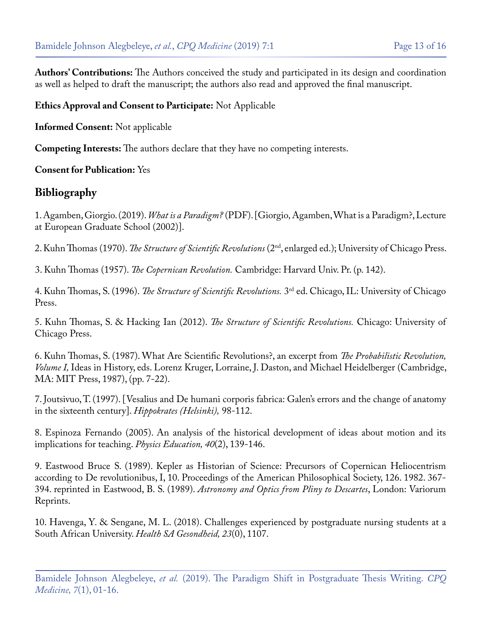**Authors' Contributions:** The Authors conceived the study and participated in its design and coordination as well as helped to draft the manuscript; the authors also read and approved the final manuscript.

#### **Ethics Approval and Consent to Participate:** Not Applicable

**Informed Consent:** Not applicable

**Competing Interests:** The authors declare that they have no competing interests.

**Consent for Publication:** Yes

#### **Bibliography**

1. Agamben, Giorgio. (2019). *What is a Paradigm?* [\(PDF\). \[Giorgio' Agamben, What is a Paradigm?, Lecture](http://www.maxvanmanen.com/files/2014/03/Agamben-What-is-a-paradigm1.pdf) [at European Graduate School \(2002\)\].](http://www.maxvanmanen.com/files/2014/03/Agamben-What-is-a-paradigm1.pdf)

2. Kuhn Thomas (1970). *The Structure of Scientific Revolutions* [\(2nd, enlarged ed.\); University of Chicago Press.](https://projektintegracija.pravo.hr/_download/repository/Kuhn_Structure_of_Scientific_Revolutions.pdf)

3. Kuhn Thomas (1957). *The Copernican Revolution.* [Cambridge: Harvard Univ. Pr. \(p. 142\).](http://faculty.georgetown.edu/irvinem/theory/Kuhn-CR-ex.pdf)

4. Kuhn Thomas, S. (1996). *The Structure of Scientific Revolutions.* [3rd ed. Chicago, IL: University of Chicago](https://psycnet.apa.org/record/2004-18141-000) [Press.](https://psycnet.apa.org/record/2004-18141-000)

5. Kuhn Thomas, S. & Hacking Ian (2012). *The Structure of Scientific Revolutions.* Chicago: University of Chicago Press.

6. Kuhn Thomas, S. (1987). What Are Scientific Revolutions?, an excerpt from *The Probabilistic Revolution, Volume I,* Ideas in History, eds. Lorenz Kruger, Lorraine, J. Daston, and Michael Heidelberger (Cambridge, MA: MIT Press, 1987), (pp. 7-22).

7. [Joutsivuo, T. \(1997\). \[Vesalius and De humani corporis fabrica: Galen's errors and the change of anatomy](https://www.ncbi.nlm.nih.gov/pubmed/11625189) [in the sixteenth century\].](https://www.ncbi.nlm.nih.gov/pubmed/11625189) *Hippokrates (Helsinki),* 98-112.

8. [Espinoza Fernando \(2005\). An analysis of the historical development of ideas about motion and its](https://eric.ed.gov/?id=EJ723668) [implications for teaching.](https://eric.ed.gov/?id=EJ723668) *Physics Education, 40*(2), 139-146.

9. Eastwood Bruce S. (1989). Kepler as Historian of Science: Precursors of Copernican Heliocentrism according to De revolutionibus, I, 10. Proceedings of the American Philosophical Society, 126. 1982. 367- 394. reprinted in Eastwood, B. S. (1989). *Astronomy and Optics from Pliny to Descartes*, London: Variorum Reprints.

10. [Havenga, Y. & Sengane, M. L. \(2018\). Challenges experienced by postgraduate nursing students at a](http://www.scielo.org.za/pdf/hsa/v23/03.pdf) [South African University.](http://www.scielo.org.za/pdf/hsa/v23/03.pdf) *Health SA Gesondheid, 23*(0), 1107.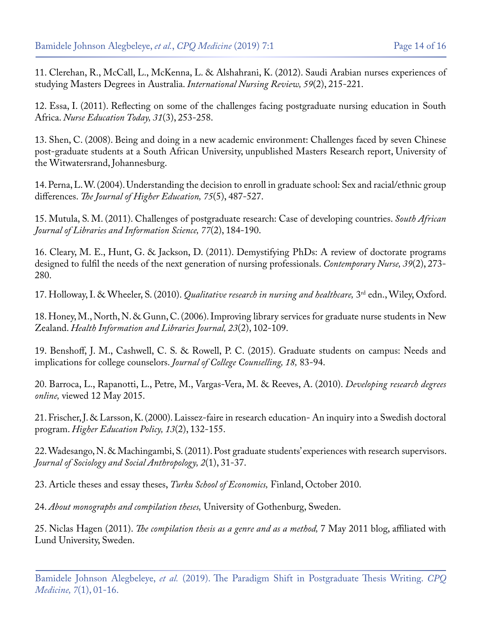11. [Clerehan, R., McCall, L., McKenna, L. & Alshahrani, K. \(2012\). Saudi Arabian nurses experiences of](https://www.ncbi.nlm.nih.gov/pubmed/22591093) [studying Masters Degrees in Australia.](https://www.ncbi.nlm.nih.gov/pubmed/22591093) *International Nursing Review, 59*(2), 215-221.

12. [Essa, I. \(2011\). Reflecting on some of the challenges facing postgraduate nursing education in South](https://www.ncbi.nlm.nih.gov/pubmed/21126811) Africa. *[Nurse Education Today, 31](https://www.ncbi.nlm.nih.gov/pubmed/21126811)*(3), 253-258.

13. Shen, C. (2008). Being and doing in a new academic environment: Challenges faced by seven Chinese post-graduate students at a South African University, unpublished Masters Research report, University of the Witwatersrand, Johannesburg.

14. [Perna, L. W. \(2004\). Understanding the decision to enroll in graduate school: Sex and racial/ethnic group](https://repository.upenn.edu/cgi/viewcontent.cgi?article=1014&context=gse_pubs) differences. *[The Journal of Higher Education, 75](https://repository.upenn.edu/cgi/viewcontent.cgi?article=1014&context=gse_pubs)*(5), 487-527.

15. [Mutula, S. M. \(2011\). Challenges of postgraduate research: Case of developing countries.](http://sajlis.journals.ac.za/pub/article/view/60) *South African [Journal of Libraries and Information Science, 77](http://sajlis.journals.ac.za/pub/article/view/60)*(2), 184-190.

16. [Cleary, M. E., Hunt, G. & Jackson, D. \(2011\). Demystifying PhDs: A review of doctorate programs](https://www.ncbi.nlm.nih.gov/pubmed/22551438) [designed to fulfil the needs of the next generation of nursing professionals.](https://www.ncbi.nlm.nih.gov/pubmed/22551438) *Contemporary Nurse, 39*(2), 273- [280.](https://www.ncbi.nlm.nih.gov/pubmed/22551438)

17. Holloway, I. & Wheeler, S. (2010). *Qualitative research in nursing and healthcare,* 3rd edn., Wiley, Oxford.

18. [Honey, M., North, N. & Gunn, C. \(2006\). Improving library services for graduate nurse students in New](https://onlinelibrary.wiley.com/doi/full/10.1111/j.1471-1842.2006.00639.x) Zealand. *[Health Information and Libraries Journal, 23](https://onlinelibrary.wiley.com/doi/full/10.1111/j.1471-1842.2006.00639.x)*(2), 102-109.

19. [Benshoff, J. M., Cashwell, C. S. & Rowell, P. C. \(2015\). Graduate students on campus: Needs and](https://libres.uncg.edu/ir/uncg/f/C_Cashwell_Graduate_2015.pdf) [implications for college counselors.](https://libres.uncg.edu/ir/uncg/f/C_Cashwell_Graduate_2015.pdf) *Journal of College Counselling, 18,* 83-94.

20. [Barroca, L., Rapanotti, L., Petre, M., Vargas-Vera, M. & Reeves, A. \(2010\).](http://oro.open.ac.uk/25295/1/ICALT10submission.pdf) *Developing research degrees online,* [viewed 12 May 2015.](http://oro.open.ac.uk/25295/1/ICALT10submission.pdf)

21. [Frischer, J. & Larsson, K. \(2000\). Laissez-faire in research education- An inquiry into a Swedish doctoral](https://link.springer.com/article/10.1016/S0952-8733%2899%2900022-7) program. *[Higher Education Policy, 13](https://link.springer.com/article/10.1016/S0952-8733%2899%2900022-7)*(2), 132-155.

22. [Wadesango, N. & Machingambi, S. \(2011\). Post graduate students' experiences with research supervisors.](https://www.tandfonline.com/doi/abs/10.1080/09766634.2011.11885545) *[Journal of Sociology and Social Anthropology, 2](https://www.tandfonline.com/doi/abs/10.1080/09766634.2011.11885545)*(1), 31-37.

23. [Article theses and essay theses,](https://www.utu.fi/en/university/turku-school-of-economics/business-collaboration/thesis-assignments) *Turku School of Economics,* Finland, October 2010.

24. *[About monographs and compilation theses,](http://forskningsrelaterat.hb.se/2014/02/11/doctoral-thesis-as-a-monograph-or-thesis-by-publication/?lang=en)* University of Gothenburg, Sweden.

25. Niclas Hagen (2011). *[The compilation thesis as a genre and as a method,](https://tycho5s.wordpress.com/2011/05/07/the-compilation-thesis-as-a-genre-and-as-a-method/)* 7 May 2011 blog, affiliated with [Lund University, Sweden.](https://tycho5s.wordpress.com/2011/05/07/the-compilation-thesis-as-a-genre-and-as-a-method/)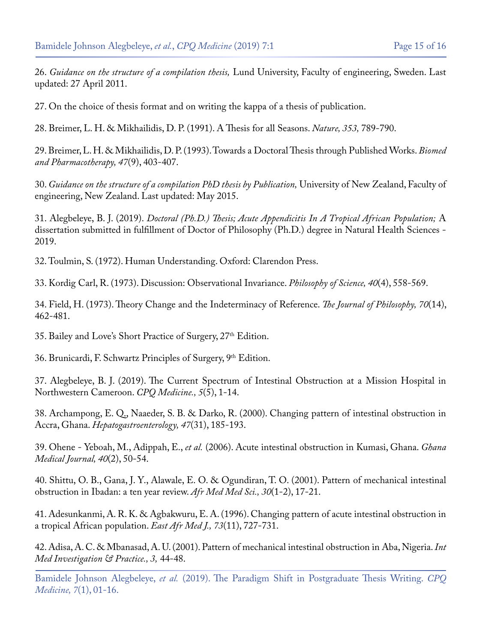26. *Guidance on the structure of a compilation thesis,* [Lund University, Faculty of engineering, Sweden. Last](https://www.lth.se/english/staff/teaching-and-research/phd-studies/public-defence/compilation-thesis/) [updated: 27 April 2011.](https://www.lth.se/english/staff/teaching-and-research/phd-studies/public-defence/compilation-thesis/)

27. On the choice of thesis format and on writing the kappa of a thesis of publication.

28. [Breimer, L. H. & Mikhailidis, D. P. \(1991\). A Thesis for all Seasons.](https://www.nature.com/articles/353789a0) *Nature, 353,* 789-790.

29. [Breimer, L. H. & Mikhailidis, D. P. \(1993\). Towards a Doctoral Thesis through Published Works.](https://www.sciencedirect.com/science/article/abs/pii/075333229390106U) *Biomed [and Pharmacotherapy, 47](https://www.sciencedirect.com/science/article/abs/pii/075333229390106U)*(9), 403-407.

30. *Guidance on the structure of a compilation PhD thesis by Publication,* University of New Zealand, Faculty of engineering, New Zealand. Last updated: May 2015.

31. Alegbeleye, B. J. (2019). *Doctoral (Ph.D.) Thesis; Acute Appendicitis In A Tropical African Population;* A dissertation submitted in fulfillment of Doctor of Philosophy (Ph.D.) degree in Natural Health Sciences - 2019.

32. Toulmin, S. (1972). Human Understanding. Oxford: Clarendon Press.

33. [Kordig Carl, R. \(1973\). Discussion: Observational Invariance.](https://www.journals.uchicago.edu/doi/10.1086/288565) *Philosophy of Science, 40*(4), 558-569.

34. [Field, H. \(1973\). Theory Change and the Indeterminacy of Reference.](https://www.pdcnet.org/jphil/content/jphil_1973_0070_0014_0462_0481) *The Journal of Philosophy, 70*(14), [462-481.](https://www.pdcnet.org/jphil/content/jphil_1973_0070_0014_0462_0481)

35. Bailey and Love's Short Practice of Surgery, 27<sup>th</sup> Edition.

36. Brunicardi, F. Schwartz Principles of Surgery, 9th Edition.

37. [Alegbeleye, B. J. \(2019\). The Current Spectrum of Intestinal Obstruction at a Mission Hospital in](https://www.cientperiodique.com/article/CPQME-5-5-136.pdf) [Northwestern Cameroon.](https://www.cientperiodique.com/article/CPQME-5-5-136.pdf) *CPQ Medicine., 5*(5), 1-14.

38. [Archampong, E. Q., Naaeder, S. B. & Darko, R. \(2000\). Changing pattern of intestinal obstruction in](https://www.ncbi.nlm.nih.gov/pubmed/10690607) Accra, Ghana. *[Hepatogastroenterology, 47](https://www.ncbi.nlm.nih.gov/pubmed/10690607)*(31), 185-193.

39. Ohene - Yeboah, M., Adippah, E., *et al.* [\(2006\). Acute intestinal obstruction in Kumasi, Ghana.](https://www.ncbi.nlm.nih.gov/pmc/articles/PMC1790839/) *Ghana [Medical Journal, 40](https://www.ncbi.nlm.nih.gov/pmc/articles/PMC1790839/)*(2), 50-54.

40. [Shittu, O. B., Gana, J. Y., Alawale, E. O. & Ogundiran, T. O. \(2001\). Pattern of mechanical intestinal](https://www.ncbi.nlm.nih.gov/pubmed/14510143) [obstruction in Ibadan: a ten year review.](https://www.ncbi.nlm.nih.gov/pubmed/14510143) *Afr Med Med Sci., 30*(1-2), 17-21.

41. [Adesunkanmi, A. R. K. & Agbakwuru, E. A. \(1996\). Changing pattern of acute intestinal obstruction in](https://www.ncbi.nlm.nih.gov/pubmed/8997863) [a tropical African population.](https://www.ncbi.nlm.nih.gov/pubmed/8997863) *East Afr Med J., 73*(11), 727-731.

42. [Adisa, A. C. & Mbanasad, A. U. \(2001\). Pattern of mechanical intestinal obstruction in Aba, Nigeria.](https://www.ajol.info/index.php/jomip/article/view/29000) *Int [Med Investigation & Practice., 3,](https://www.ajol.info/index.php/jomip/article/view/29000)* 44-48.